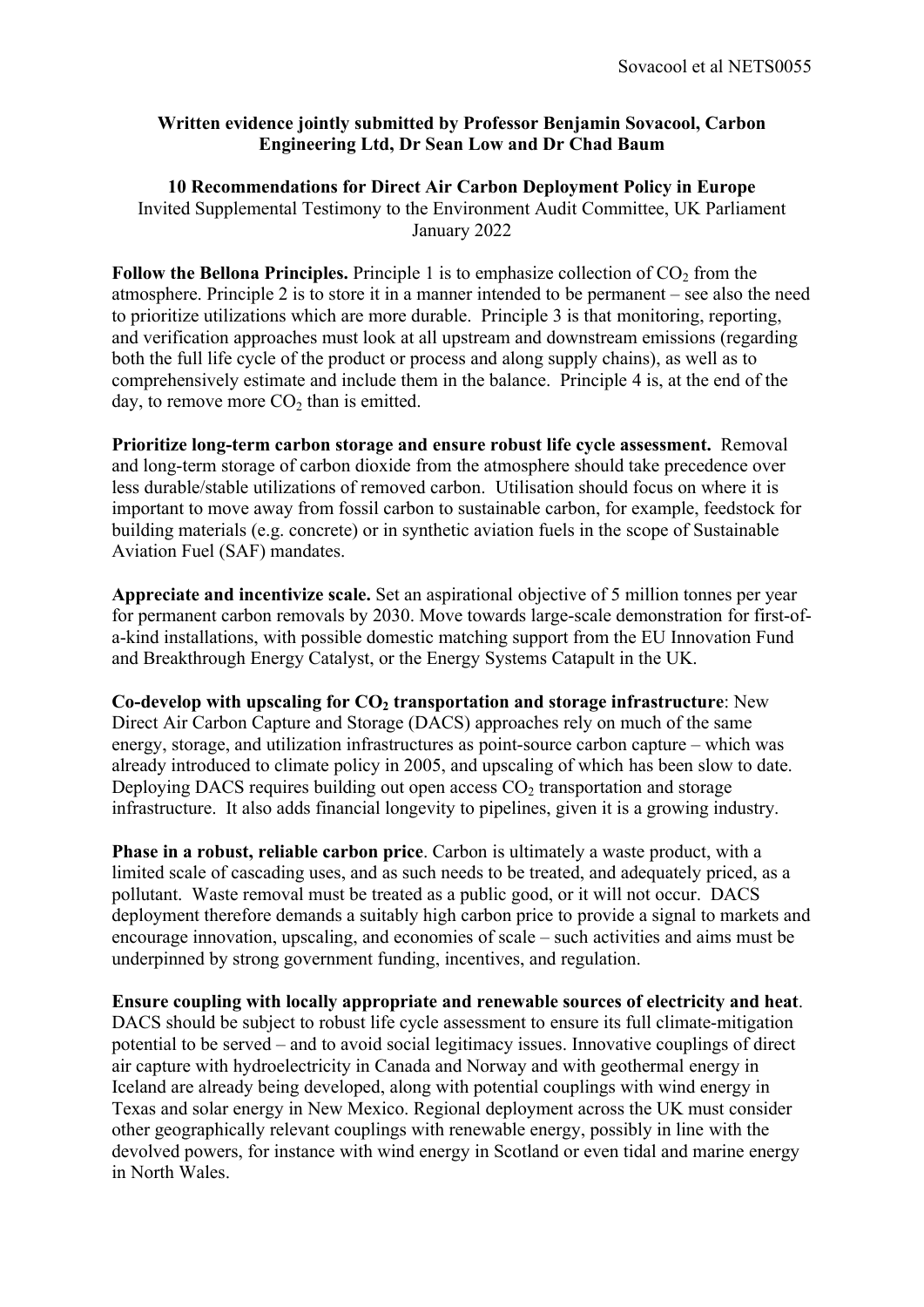## **Written evidence jointly submitted by Professor Benjamin Sovacool, Carbon Engineering Ltd, Dr Sean Low and Dr Chad Baum**

**10 Recommendations for Direct Air Carbon Deployment Policy in Europe** Invited Supplemental Testimony to the Environment Audit Committee, UK Parliament January 2022

**Follow the Bellona Principles.** Principle 1 is to emphasize collection of CO<sub>2</sub> from the atmosphere. Principle 2 is to store it in a manner intended to be permanent – see also the need to prioritize utilizations which are more durable. Principle 3 is that monitoring, reporting, and verification approaches must look at all upstream and downstream emissions (regarding both the full life cycle of the product or process and along supply chains), as well as to comprehensively estimate and include them in the balance. Principle 4 is, at the end of the day, to remove more  $CO<sub>2</sub>$  than is emitted.

**Prioritize long-term carbon storage and ensure robust life cycle assessment.** Removal and long-term storage of carbon dioxide from the atmosphere should take precedence over less durable/stable utilizations of removed carbon. Utilisation should focus on where it is important to move away from fossil carbon to sustainable carbon, for example, feedstock for building materials (e.g. concrete) or in synthetic aviation fuels in the scope of Sustainable Aviation Fuel (SAF) mandates.

**Appreciate and incentivize scale.** Set an aspirational objective of 5 million tonnes per year for permanent carbon removals by 2030. Move towards large-scale demonstration for first-ofa-kind installations, with possible domestic matching support from the EU Innovation Fund and Breakthrough Energy Catalyst, or the Energy Systems Catapult in the UK.

**Co-develop with upscaling for CO<sup>2</sup> transportation and storage infrastructure**: New Direct Air Carbon Capture and Storage (DACS) approaches rely on much of the same energy, storage, and utilization infrastructures as point-source carbon capture – which was already introduced to climate policy in 2005, and upscaling of which has been slow to date. Deploying DACS requires building out open access  $CO<sub>2</sub>$  transportation and storage infrastructure. It also adds financial longevity to pipelines, given it is a growing industry.

**Phase in a robust, reliable carbon price**. Carbon is ultimately a waste product, with a limited scale of cascading uses, and as such needs to be treated, and adequately priced, as a pollutant. Waste removal must be treated as a public good, or it will not occur. DACS deployment therefore demands a suitably high carbon price to provide a signal to markets and encourage innovation, upscaling, and economies of scale – such activities and aims must be underpinned by strong government funding, incentives, and regulation.

**Ensure coupling with locally appropriate and renewable sources of electricity and heat**. DACS should be subject to robust life cycle assessment to ensure its full climate-mitigation potential to be served – and to avoid social legitimacy issues. Innovative couplings of direct air capture with hydroelectricity in Canada and Norway and with geothermal energy in Iceland are already being developed, along with potential couplings with wind energy in Texas and solar energy in New Mexico. Regional deployment across the UK must consider other geographically relevant couplings with renewable energy, possibly in line with the devolved powers, for instance with wind energy in Scotland or even tidal and marine energy in North Wales.